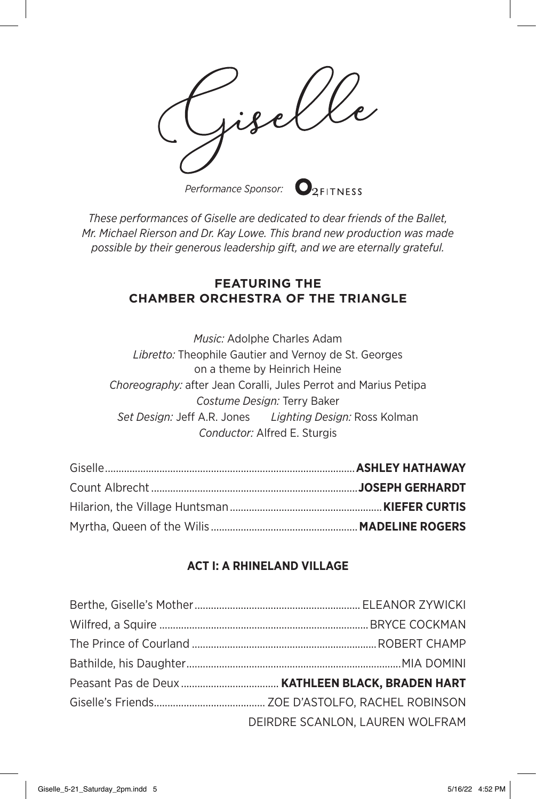*Performance Sponsor:*

*These performances of Giselle are dedicated to dear friends of the Ballet, Mr. Michael Rierson and Dr. Kay Lowe. This brand new production was made possible by their generous leadership gift, and we are eternally grateful.*

## **FEATURING THE CHAMBER ORCHESTRA OF THE TRIANGLE**

*Music:* Adolphe Charles Adam *Libretto:* Theophile Gautier and Vernoy de St. Georges on a theme by Heinrich Heine *Choreography:* after Jean Coralli, Jules Perrot and Marius Petipa *Costume Design:* Terry Baker *Set Design:* Jeff A.R. Jones *Lighting Design:* Ross Kolman *Conductor:* Alfred E. Sturgis

## **ACT I: A RHINELAND VILLAGE**

| DEIRDRE SCANLON, LAUREN WOLFRAM |
|---------------------------------|